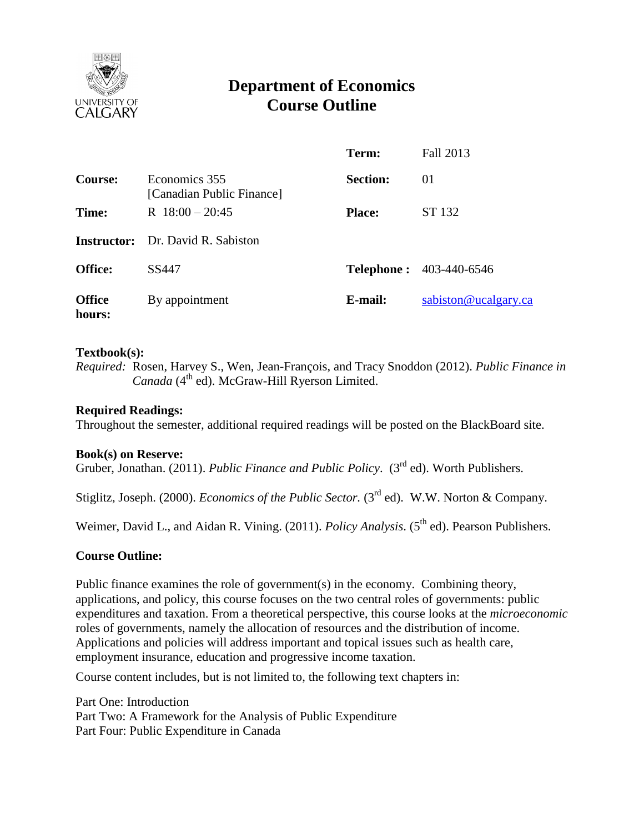

# **Department of Economics Course Outline**

|                         |                                            | Term:           | Fall 2013                      |
|-------------------------|--------------------------------------------|-----------------|--------------------------------|
| Course:                 | Economics 355<br>[Canadian Public Finance] | <b>Section:</b> | 01                             |
| Time:                   | R $18:00 - 20:45$                          | <b>Place:</b>   | ST 132                         |
|                         | <b>Instructor:</b> Dr. David R. Sabiston   |                 |                                |
| <b>Office:</b>          | SS447                                      |                 | <b>Telephone: 403-440-6546</b> |
| <b>Office</b><br>hours: | By appointment                             | E-mail:         | sabiston@ucalgary.ca           |

# **Textbook(s):**

*Required:* Rosen, Harvey S., Wen, Jean-François, and Tracy Snoddon (2012). *Public Finance in*  Canada (4<sup>th</sup> ed). McGraw-Hill Ryerson Limited.

## **Required Readings:**

Throughout the semester, additional required readings will be posted on the BlackBoard site.

#### **Book(s) on Reserve:**

Gruber, Jonathan. (2011). *Public Finance and Public Policy.* (3<sup>rd</sup> ed). Worth Publishers.

Stiglitz, Joseph. (2000). *Economics of the Public Sector.* (3<sup>rd</sup> ed). W.W. Norton & Company.

Weimer, David L., and Aidan R. Vining. (2011). *Policy Analysis*. (5<sup>th</sup> ed). Pearson Publishers.

# **Course Outline:**

Public finance examines the role of government(s) in the economy. Combining theory, applications, and policy, this course focuses on the two central roles of governments: public expenditures and taxation. From a theoretical perspective, this course looks at the *microeconomic* roles of governments, namely the allocation of resources and the distribution of income. Applications and policies will address important and topical issues such as health care, employment insurance, education and progressive income taxation.

Course content includes, but is not limited to, the following text chapters in:

Part One: Introduction Part Two: A Framework for the Analysis of Public Expenditure Part Four: Public Expenditure in Canada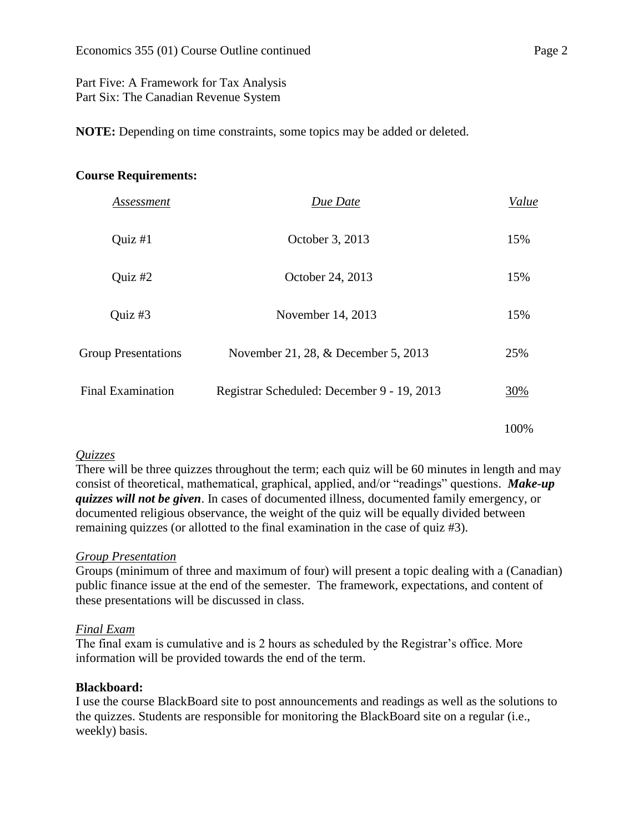# Part Five: A Framework for Tax Analysis Part Six: The Canadian Revenue System

**NOTE:** Depending on time constraints, some topics may be added or deleted.

## **Course Requirements:**

| Assessment                 | Due Date                                   | Value |
|----------------------------|--------------------------------------------|-------|
| Ouiz $#1$                  | October 3, 2013                            | 15%   |
| Quiz $#2$                  | October 24, 2013                           | 15%   |
| Quiz #3                    | November 14, 2013                          | 15%   |
| <b>Group Presentations</b> | November 21, 28, & December 5, 2013        | 25%   |
| <b>Final Examination</b>   | Registrar Scheduled: December 9 - 19, 2013 | 30%   |
|                            |                                            | 100%  |

# *Quizzes*

There will be three quizzes throughout the term; each quiz will be 60 minutes in length and may consist of theoretical, mathematical, graphical, applied, and/or "readings" questions. *Make-up quizzes will not be given*. In cases of documented illness, documented family emergency, or documented religious observance, the weight of the quiz will be equally divided between remaining quizzes (or allotted to the final examination in the case of quiz #3).

# *Group Presentation*

Groups (minimum of three and maximum of four) will present a topic dealing with a (Canadian) public finance issue at the end of the semester. The framework, expectations, and content of these presentations will be discussed in class.

#### *Final Exam*

The final exam is cumulative and is 2 hours as scheduled by the Registrar's office. More information will be provided towards the end of the term.

# **Blackboard:**

I use the course BlackBoard site to post announcements and readings as well as the solutions to the quizzes. Students are responsible for monitoring the BlackBoard site on a regular (i.e., weekly) basis.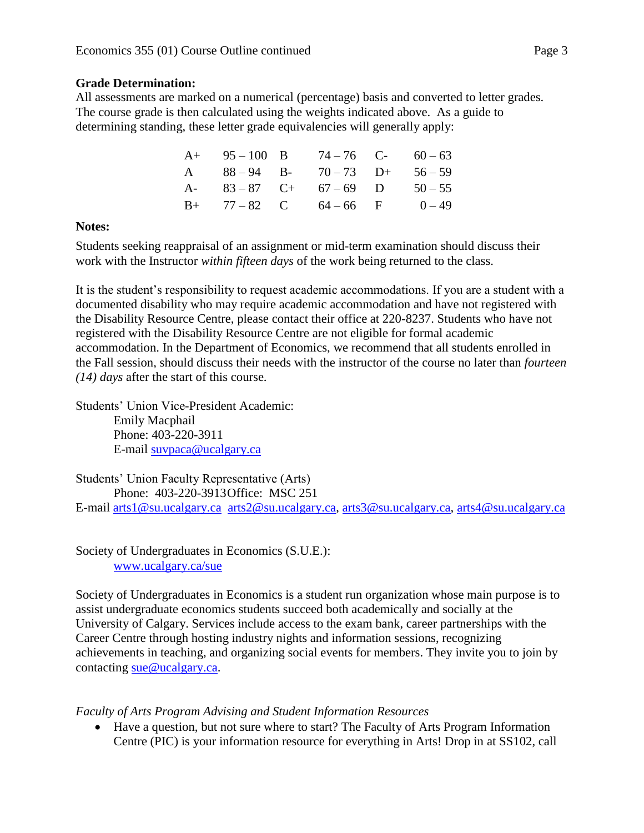# **Grade Determination:**

All assessments are marked on a numerical (percentage) basis and converted to letter grades. The course grade is then calculated using the weights indicated above. As a guide to determining standing, these letter grade equivalencies will generally apply:

|  | $A+ 95-100 B 74-76 C- 60-63$    |  |
|--|---------------------------------|--|
|  | A $88-94$ B- $70-73$ D+ $56-59$ |  |
|  | A- $83-87$ C+ $67-69$ D $50-55$ |  |
|  | $B+$ 77 – 82 C 64 – 66 F 0 – 49 |  |

# **Notes:**

Students seeking reappraisal of an assignment or mid-term examination should discuss their work with the Instructor *within fifteen days* of the work being returned to the class.

It is the student's responsibility to request academic accommodations. If you are a student with a documented disability who may require academic accommodation and have not registered with the Disability Resource Centre, please contact their office at 220-8237. Students who have not registered with the Disability Resource Centre are not eligible for formal academic accommodation. In the Department of Economics, we recommend that all students enrolled in the Fall session, should discuss their needs with the instructor of the course no later than *fourteen (14) days* after the start of this course.

Students' Union Vice-President Academic: Emily Macphail Phone: 403-220-3911 E-mail [suvpaca@ucalgary.ca](mailto:subpaca@ucalgary.ca)

Students' Union Faculty Representative (Arts) Phone: 403-220-3913Office: MSC 251 E-mail [arts1@su.ucalgary.ca](mailto:arts1@su.ucalgary.ca) [arts2@su.ucalgary.ca,](mailto:arts2@su.ucalgary.ca) [arts3@su.ucalgary.ca,](mailto:arts3@su.ucalgary.ca) [arts4@su.ucalgary.ca](mailto:arts4@su.ucalgary.ca)

Society of Undergraduates in Economics (S.U.E.): [www.ucalgary.ca/sue](http://www.fp.ucalgary.ca/econ)

Society of Undergraduates in Economics is a student run organization whose main purpose is to assist undergraduate economics students succeed both academically and socially at the University of Calgary. Services include access to the exam bank, career partnerships with the Career Centre through hosting industry nights and information sessions, recognizing achievements in teaching, and organizing social events for members. They invite you to join by contacting [sue@ucalgary.ca.](mailto:sue@ucalgary.ca)

*Faculty of Arts Program Advising and Student Information Resources*

 Have a question, but not sure where to start? The Faculty of Arts Program Information Centre (PIC) is your information resource for everything in Arts! Drop in at SS102, call